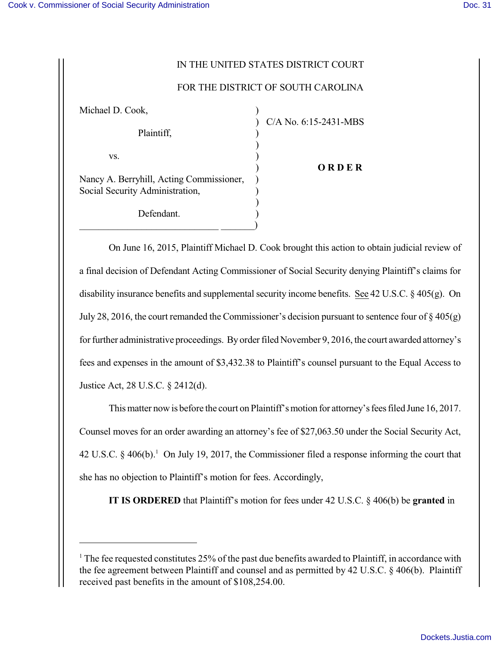## IN THE UNITED STATES DISTRICT COURT

## FOR THE DISTRICT OF SOUTH CAROLINA

| Michael D. Cook,                                                            |                       |
|-----------------------------------------------------------------------------|-----------------------|
| Plaintiff,                                                                  | C/A No. 6:15-2431-MBS |
| VS.                                                                         |                       |
| Nancy A. Berryhill, Acting Commissioner,<br>Social Security Administration, | ORDER                 |
| Defendant.                                                                  |                       |

On June 16, 2015, Plaintiff Michael D. Cook brought this action to obtain judicial review of a final decision of Defendant Acting Commissioner of Social Security denying Plaintiff's claims for disability insurance benefits and supplemental security income benefits. See 42 U.S.C.  $\S$  405(g). On July 28, 2016, the court remanded the Commissioner's decision pursuant to sentence four of  $\S 405(g)$ for further administrative proceedings. By order filed November 9, 2016, the court awarded attorney's fees and expenses in the amount of \$3,432.38 to Plaintiff's counsel pursuant to the Equal Access to Justice Act, 28 U.S.C. § 2412(d).

This matter now is before the court on Plaintiff's motion for attorney's fees filed June 16, 2017. Counsel moves for an order awarding an attorney's fee of \$27,063.50 under the Social Security Act, 42 U.S.C.  $\S$  406(b).<sup>1</sup> On July 19, 2017, the Commissioner filed a response informing the court that she has no objection to Plaintiff's motion for fees. Accordingly,

**IT IS ORDERED** that Plaintiff's motion for fees under 42 U.S.C. § 406(b) be **granted** in

<sup>&</sup>lt;sup>1</sup> The fee requested constitutes 25% of the past due benefits awarded to Plaintiff, in accordance with the fee agreement between Plaintiff and counsel and as permitted by 42 U.S.C. § 406(b). Plaintiff received past benefits in the amount of \$108,254.00.